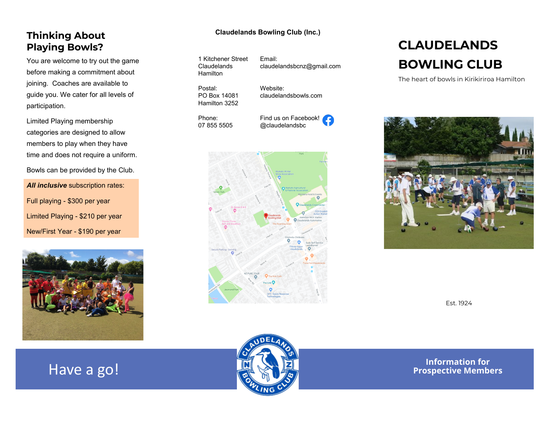# **Playing Bowls?**

You are welcome to try out the game before making a commitment about joining. Coaches are available to guide you. We cater for all levels of participation.

Limited Playing membership categories are designed to allow members to play when they have time and does not require a uniform.

Bowls can be provided by the Club.

**All inclusive** subscription rates: Full playing - \$300 per year Limited Playing - \$210 per year New/First Year - \$190 per year



### **Claudelands Bowling Club (Inc.) Thinking About**

Website:

1 Kitchener Street Claudelands **Hamilton** 

Email: claudelandsbcnz@gmail.com

Postal: PO Box 14081 Hamilton 3252

Phone: 07 855 5505 Find us on Facebook! @claudelandsbc

claudelandsbowls.com



## **CLAUDELANDS BOWLING CLUB**

The heart of bowls in Kirikiriroa Hamilton



Est. 1924

**Information for Properties a go! Properties a go! Properties a go! Properties A Properties Members**